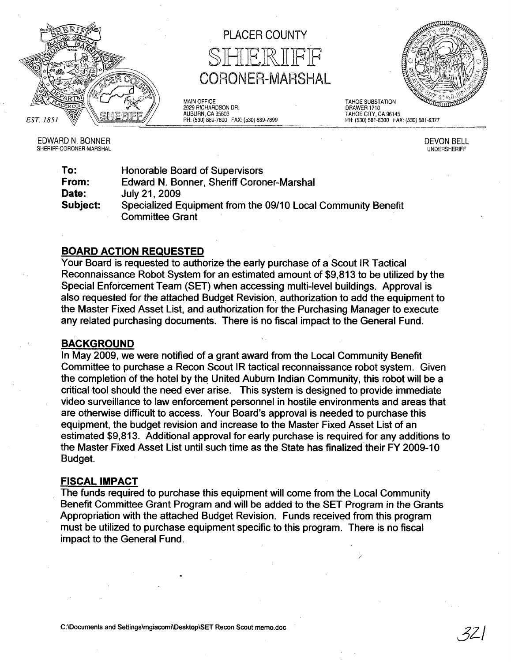

PLACER COUNTY SHIERIFF CORONER-MARSHAL

MAIN OFFICE 2929 RICHARDSON DR. AUBURN, CA 95603 PH: (530) 889-7800 FAX: (530) 889-7899



DRAWER 1710 TAHOE CITY, CA 96145 PH: (530) 581-6300 FAX: (530) 681-6377

TAHOE SUBSTATION

EDWARD N. BONNER SHERIFF-CORONER-MARSHAL DEVON BELL UNDERSHERIFF

| To:      | Honorable Board of Supervisors                               |
|----------|--------------------------------------------------------------|
| From:    | Edward N. Bonner, Sheriff Coroner-Marshal                    |
| Date:    | July 21, 2009                                                |
| Subject: | Specialized Equipment from the 09/10 Local Community Benefit |
|          | <b>Committee Grant</b>                                       |

## BOARD ACTION REQUESTED

Your Board is requested to authorize the early purchase of a Scout IR Tactical Reconnaissance Robot System for an estimated amount of \$9,813 to be utilized by the Special Enforcement Team (SET) when accessing multi-level buildings. Approval is also requested for the attached Budget Revision, authorization to add the equipment to the Master Fixed Asset List, and authorization for the Purchasing Manager to execute any related purchasing documents. There is no fiscal impact to the General Fund.

## BACKGROUND

In May 2009, we were notified of a grant award from the Local Community Benefit Committee to purchase a Recon Scout IR tactical reconnaissance robot system. Given the completion of the hotel by the United Auburn Indian Community, this robot will be a critical tool should the need ever arise. This system is designed to provide immediate video surveillance to law enforcement personnel in hostile environments and areas that are otherwise difficult to access. Your Board's approval is needed to purchase this equipment, the budget revision and increase to the Master Fixed Asset List of an estimated \$9,813. Additional approval for early purchase is required for any additions to the Master Fixed Asset List until such time as the State has finalized'their FY 2009-10 BUdget.

## FISCAL IMPACT

The funds required to purchase this equipment will come from the Local Community Benefit Committee Grant Program and will be added to the SET Program in the Grants Appropriation with the attached Budget Revision. Funds received from this program must be utilized to purchase equipment specific to this program. There is no fiscal impact to the General Fund.